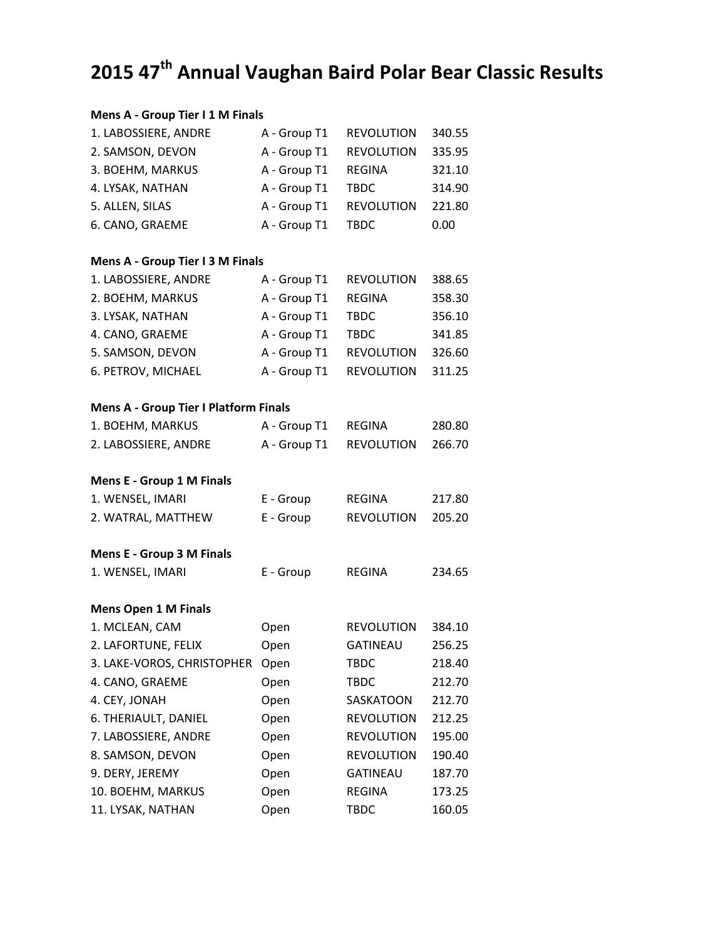## **2015 47th Annual Vaughan Baird Polar Bear Classic Results**

## **Mens A ‐ Group Tier I 1 M Finals**

| 1. LABOSSIERE, ANDRE                         | A - Group T1 | <b>REVOLUTION</b> | 340.55 |
|----------------------------------------------|--------------|-------------------|--------|
| 2. SAMSON, DEVON                             | A - Group T1 | <b>REVOLUTION</b> | 335.95 |
| 3. BOEHM, MARKUS                             | A - Group T1 | <b>REGINA</b>     | 321.10 |
| 4. LYSAK, NATHAN                             | A - Group T1 | <b>TBDC</b>       | 314.90 |
| 5. ALLEN, SILAS                              | A - Group T1 | <b>REVOLUTION</b> | 221.80 |
| 6. CANO, GRAEME                              | A - Group T1 | <b>TBDC</b>       | 0.00   |
| Mens A - Group Tier I 3 M Finals             |              |                   |        |
| 1. LABOSSIERE, ANDRE                         | A - Group T1 | <b>REVOLUTION</b> | 388.65 |
| 2. BOEHM, MARKUS                             | A - Group T1 | <b>REGINA</b>     | 358.30 |
| 3. LYSAK, NATHAN                             | A - Group T1 | <b>TBDC</b>       | 356.10 |
| 4. CANO, GRAEME                              | A - Group T1 | <b>TBDC</b>       | 341.85 |
| 5. SAMSON, DEVON                             | A - Group T1 | <b>REVOLUTION</b> | 326.60 |
| 6. PETROV, MICHAEL                           | A - Group T1 | <b>REVOLUTION</b> | 311.25 |
| <b>Mens A - Group Tier I Platform Finals</b> |              |                   |        |
| 1. BOEHM, MARKUS                             | A - Group T1 | <b>REGINA</b>     | 280.80 |
| 2. LABOSSIERE, ANDRE                         | A - Group T1 | <b>REVOLUTION</b> | 266.70 |
| <b>Mens E - Group 1 M Finals</b>             |              |                   |        |
| 1. WENSEL, IMARI                             | E - Group    | REGINA            | 217.80 |
| 2. WATRAL, MATTHEW                           | E - Group    | <b>REVOLUTION</b> | 205.20 |
| <b>Mens E - Group 3 M Finals</b>             |              |                   |        |
| 1. WENSEL, IMARI                             | E - Group    | <b>REGINA</b>     | 234.65 |
| <b>Mens Open 1 M Finals</b>                  |              |                   |        |
| 1. MCLEAN, CAM                               | Open         | <b>REVOLUTION</b> | 384.10 |
| 2. LAFORTUNE, FELIX                          | Open         | <b>GATINEAU</b>   | 256.25 |
| 3. LAKE-VOROS, CHRISTOPHER                   | Open         | <b>TBDC</b>       | 218.40 |
| 4. CANO, GRAEME                              | Open         | <b>TBDC</b>       | 212.70 |
| 4. CEY, JONAH                                | Open         | SASKATOON         | 212.70 |
| 6. THERIAULT, DANIEL                         | Open         | <b>REVOLUTION</b> | 212.25 |
| 7. LABOSSIERE, ANDRE                         | Open         | <b>REVOLUTION</b> | 195.00 |
| 8. SAMSON, DEVON                             | Open         | <b>REVOLUTION</b> | 190.40 |
| 9. DERY, JEREMY                              | Open         | <b>GATINEAU</b>   | 187.70 |
| 10. BOEHM, MARKUS                            | Open         | <b>REGINA</b>     | 173.25 |
| 11. LYSAK, NATHAN                            | Open         | <b>TBDC</b>       | 160.05 |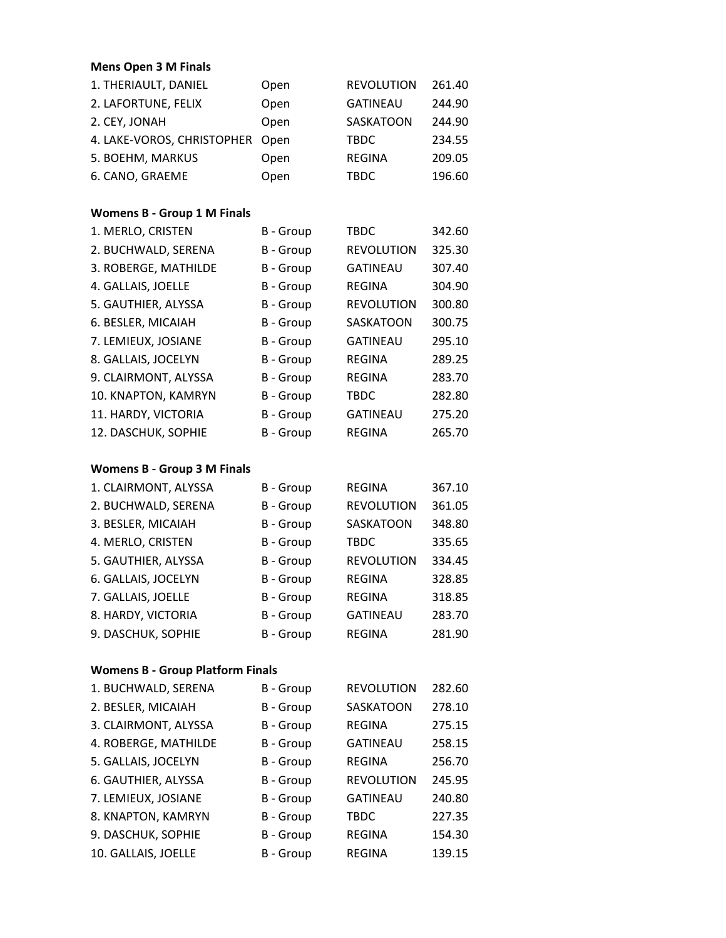| <b>Mens Open 3 M Finals</b>             |                  |                   |        |
|-----------------------------------------|------------------|-------------------|--------|
| 1. THERIAULT, DANIEL                    | Open             | <b>REVOLUTION</b> | 261.40 |
| 2. LAFORTUNE, FELIX                     | Open             | <b>GATINEAU</b>   | 244.90 |
| 2. CEY, JONAH                           | Open             | SASKATOON         | 244.90 |
| 4. LAKE-VOROS, CHRISTOPHER              | Open             | <b>TBDC</b>       | 234.55 |
| 5. BOEHM, MARKUS                        | Open             | <b>REGINA</b>     | 209.05 |
| 6. CANO, GRAEME                         | Open             | <b>TBDC</b>       | 196.60 |
| <b>Womens B - Group 1 M Finals</b>      |                  |                   |        |
| 1. MERLO, CRISTEN                       | B - Group        | <b>TBDC</b>       | 342.60 |
| 2. BUCHWALD, SERENA                     | <b>B</b> - Group | <b>REVOLUTION</b> | 325.30 |
| 3. ROBERGE, MATHILDE                    | <b>B</b> - Group | <b>GATINEAU</b>   | 307.40 |
| 4. GALLAIS, JOELLE                      | <b>B</b> - Group | <b>REGINA</b>     | 304.90 |
| 5. GAUTHIER, ALYSSA                     | <b>B</b> - Group | <b>REVOLUTION</b> | 300.80 |
| 6. BESLER, MICAIAH                      | <b>B</b> - Group | SASKATOON         | 300.75 |
| 7. LEMIEUX, JOSIANE                     | <b>B</b> - Group | <b>GATINEAU</b>   | 295.10 |
| 8. GALLAIS, JOCELYN                     | <b>B</b> - Group | <b>REGINA</b>     | 289.25 |
| 9. CLAIRMONT, ALYSSA                    | B - Group        | <b>REGINA</b>     | 283.70 |
| 10. KNAPTON, KAMRYN                     | <b>B</b> - Group | TBDC              | 282.80 |
| 11. HARDY, VICTORIA                     | <b>B</b> - Group | <b>GATINEAU</b>   | 275.20 |
| 12. DASCHUK, SOPHIE                     | B - Group        | <b>REGINA</b>     | 265.70 |
| <b>Womens B - Group 3 M Finals</b>      |                  |                   |        |
| 1. CLAIRMONT, ALYSSA                    | <b>B</b> - Group | REGINA            | 367.10 |
| 2. BUCHWALD, SERENA                     | B - Group        | <b>REVOLUTION</b> | 361.05 |
| 3. BESLER, MICAIAH                      | <b>B</b> - Group | SASKATOON         | 348.80 |
| 4. MERLO, CRISTEN                       | B - Group        | TBDC              | 335.65 |
| 5. GAUTHIER, ALYSSA                     | <b>B</b> - Group | <b>REVOLUTION</b> | 334.45 |
| 6. GALLAIS, JOCELYN                     |                  |                   |        |
|                                         | B - Group        | <b>REGINA</b>     | 328.85 |
| 7. GALLAIS, JOELLE                      | B - Group        | REGINA            | 318.85 |
| 8. HARDY, VICTORIA                      | B - Group        | <b>GATINEAU</b>   | 283.70 |
| 9. DASCHUK, SOPHIE                      | B - Group        | <b>REGINA</b>     | 281.90 |
| <b>Womens B - Group Platform Finals</b> |                  |                   |        |
| 1. BUCHWALD, SERENA                     | B - Group        | <b>REVOLUTION</b> | 282.60 |
| 2. BESLER, MICAIAH                      | B - Group        | SASKATOON         | 278.10 |
| 3. CLAIRMONT, ALYSSA                    | B - Group        | REGINA            | 275.15 |
| 4. ROBERGE, MATHILDE                    | B - Group        | <b>GATINEAU</b>   | 258.15 |
| 5. GALLAIS, JOCELYN                     | B - Group        | <b>REGINA</b>     | 256.70 |
| 6. GAUTHIER, ALYSSA                     | <b>B</b> - Group | <b>REVOLUTION</b> | 245.95 |
| 7. LEMIEUX, JOSIANE                     | B - Group        | <b>GATINEAU</b>   | 240.80 |
| 8. KNAPTON, KAMRYN                      | B - Group        | TBDC              | 227.35 |
| 9. DASCHUK, SOPHIE                      | B - Group        | REGINA            | 154.30 |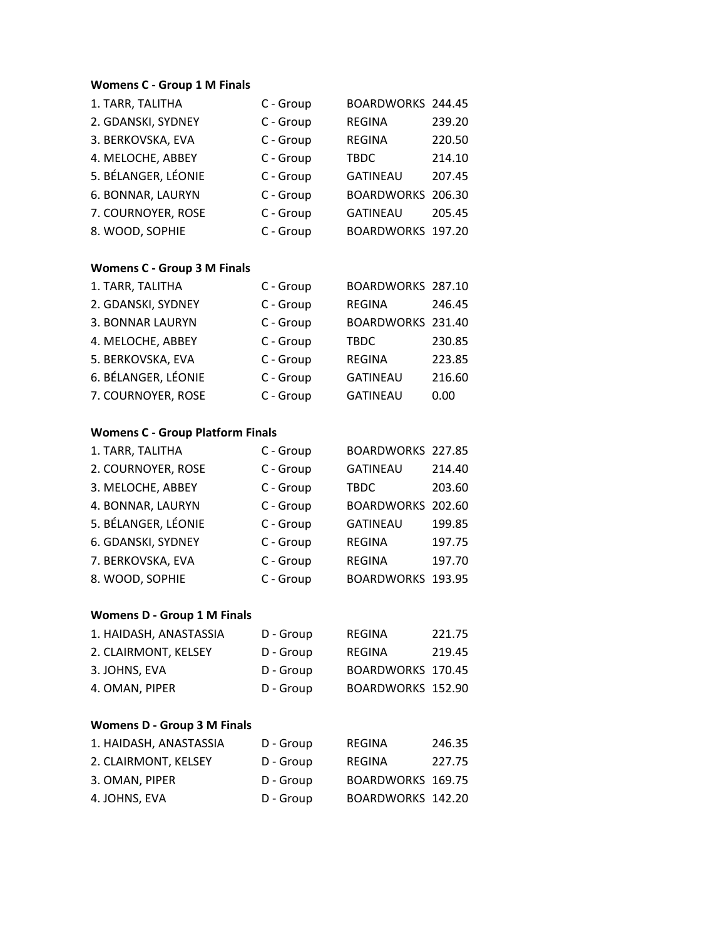## **Womens C ‐ Group 1 M Finals**

| 1. TARR, TALITHA                        | C - Group | BOARDWORKS 244.45 |        |
|-----------------------------------------|-----------|-------------------|--------|
| 2. GDANSKI, SYDNEY                      | C - Group | REGINA            | 239.20 |
| 3. BERKOVSKA, EVA                       | C - Group | <b>REGINA</b>     | 220.50 |
| 4. MELOCHE, ABBEY                       | C - Group | <b>TBDC</b>       | 214.10 |
| 5. BÉLANGER, LÉONIE                     | C - Group | <b>GATINEAU</b>   | 207.45 |
| 6. BONNAR, LAURYN                       | C - Group | <b>BOARDWORKS</b> | 206.30 |
| 7. COURNOYER, ROSE                      | C - Group | <b>GATINEAU</b>   | 205.45 |
| 8. WOOD, SOPHIE                         | C - Group | <b>BOARDWORKS</b> | 197.20 |
| <b>Womens C - Group 3 M Finals</b>      |           |                   |        |
| 1. TARR, TALITHA                        | C - Group | BOARDWORKS 287.10 |        |
| 2. GDANSKI, SYDNEY                      | C - Group | <b>REGINA</b>     | 246.45 |
| 3. BONNAR LAURYN                        | C - Group | <b>BOARDWORKS</b> | 231.40 |
| 4. MELOCHE, ABBEY                       | C - Group | <b>TBDC</b>       | 230.85 |
| 5. BERKOVSKA, EVA                       | C - Group | <b>REGINA</b>     | 223.85 |
| 6. BÉLANGER, LÉONIE                     | C - Group | <b>GATINEAU</b>   | 216.60 |
| 7. COURNOYER, ROSE                      | C - Group | <b>GATINEAU</b>   | 0.00   |
| <b>Womens C - Group Platform Finals</b> |           |                   |        |
| 1. TARR, TALITHA                        | C - Group | BOARDWORKS 227.85 |        |
| 2. COURNOYER, ROSE                      | C - Group | <b>GATINEAU</b>   | 214.40 |
| 3. MELOCHE, ABBEY                       | C - Group | <b>TBDC</b>       | 203.60 |
| 4. BONNAR, LAURYN                       | C - Group | <b>BOARDWORKS</b> | 202.60 |
| 5. BÉLANGER, LÉONIE                     | C - Group | <b>GATINEAU</b>   | 199.85 |
| 6. GDANSKI, SYDNEY                      | C - Group | REGINA            | 197.75 |
| 7. BERKOVSKA, EVA                       | C - Group | <b>REGINA</b>     | 197.70 |
| 8. WOOD, SOPHIE                         | C - Group | <b>BOARDWORKS</b> | 193.95 |
| <b>Womens D - Group 1 M Finals</b>      |           |                   |        |
| 1. HAIDASH, ANASTASSIA                  | D - Group | REGINA            | 221.75 |
| 2. CLAIRMONT, KELSEY                    | D - Group | REGINA            | 219.45 |
| 3. JOHNS, EVA                           | D - Group | BOARDWORKS 170.45 |        |
| 4. OMAN, PIPER                          | D - Group | BOARDWORKS 152.90 |        |
| <b>Womens D - Group 3 M Finals</b>      |           |                   |        |
| 1. HAIDASH, ANASTASSIA                  | D - Group | REGINA            | 246.35 |
| 2. CLAIRMONT, KELSEY                    | D - Group | REGINA            | 227.75 |
| 3. OMAN, PIPER                          | D - Group | BOARDWORKS 169.75 |        |
| 4. JOHNS, EVA                           | D - Group | BOARDWORKS 142.20 |        |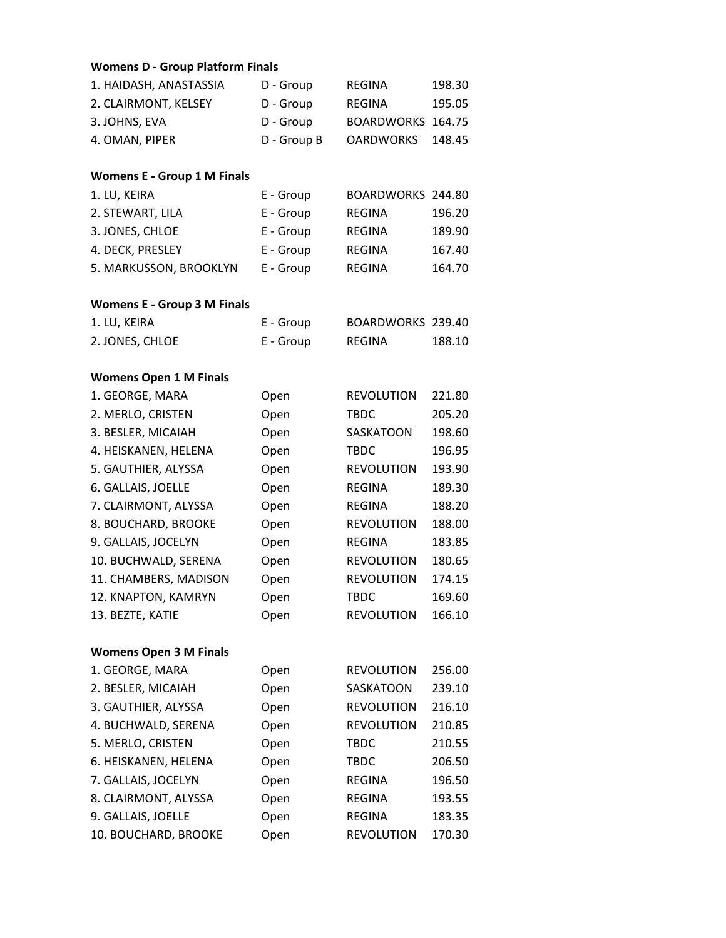| <b>Womens D - Group Platform Finals</b> |             |                   |        |
|-----------------------------------------|-------------|-------------------|--------|
| 1. HAIDASH, ANASTASSIA                  | D - Group   | <b>REGINA</b>     | 198.30 |
| 2. CLAIRMONT, KELSEY                    | D - Group   | REGINA            | 195.05 |
| 3. JOHNS, EVA                           | D - Group   | <b>BOARDWORKS</b> | 164.75 |
| 4. OMAN, PIPER                          | D - Group B | <b>OARDWORKS</b>  | 148.45 |
| <b>Womens E - Group 1 M Finals</b>      |             |                   |        |
| 1. LU, KEIRA                            | E - Group   | BOARDWORKS 244.80 |        |
| 2. STEWART, LILA                        | E - Group   | <b>REGINA</b>     | 196.20 |
| 3. JONES, CHLOE                         | E - Group   | <b>REGINA</b>     | 189.90 |
| 4. DECK, PRESLEY                        | E - Group   | REGINA            | 167.40 |
| 5. MARKUSSON, BROOKLYN                  | E - Group   | REGINA            | 164.70 |
| <b>Womens E - Group 3 M Finals</b>      |             |                   |        |
| 1. LU, KEIRA                            | E - Group   | BOARDWORKS 239.40 |        |
| 2. JONES, CHLOE                         | E - Group   | <b>REGINA</b>     | 188.10 |
| <b>Womens Open 1 M Finals</b>           |             |                   |        |
| 1. GEORGE, MARA                         | Open        | <b>REVOLUTION</b> | 221.80 |
| 2. MERLO, CRISTEN                       | Open        | <b>TBDC</b>       | 205.20 |
| 3. BESLER, MICAIAH                      | Open        | SASKATOON         | 198.60 |
| 4. HEISKANEN, HELENA                    | Open        | <b>TBDC</b>       | 196.95 |
| 5. GAUTHIER, ALYSSA                     | Open        | <b>REVOLUTION</b> | 193.90 |
| 6. GALLAIS, JOELLE                      | Open        | <b>REGINA</b>     | 189.30 |
| 7. CLAIRMONT, ALYSSA                    | Open        | <b>REGINA</b>     | 188.20 |
| 8. BOUCHARD, BROOKE                     | Open        | <b>REVOLUTION</b> | 188.00 |
| 9. GALLAIS, JOCELYN                     | Open        | <b>REGINA</b>     | 183.85 |
| 10. BUCHWALD, SERENA                    | Open        | <b>REVOLUTION</b> | 180.65 |
| 11. CHAMBERS, MADISON                   | Open        | <b>REVOLUTION</b> | 174.15 |
| 12. KNAPTON, KAMRYN                     | Open        | <b>TBDC</b>       | 169.60 |
| 13. BEZTE, KATIE                        | Open        | <b>REVOLUTION</b> | 166.10 |
| <b>Womens Open 3 M Finals</b>           |             |                   |        |
| 1. GEORGE, MARA                         | Open        | <b>REVOLUTION</b> | 256.00 |
| 2. BESLER, MICAIAH                      | Open        | SASKATOON         | 239.10 |
| 3. GAUTHIER, ALYSSA                     | Open        | <b>REVOLUTION</b> | 216.10 |
| 4. BUCHWALD, SERENA                     | Open        | <b>REVOLUTION</b> | 210.85 |
| 5. MERLO, CRISTEN                       | Open        | <b>TBDC</b>       | 210.55 |
| 6. HEISKANEN, HELENA                    | Open        | <b>TBDC</b>       | 206.50 |
| 7. GALLAIS, JOCELYN                     | Open        | REGINA            | 196.50 |
| 8. CLAIRMONT, ALYSSA                    | Open        | <b>REGINA</b>     | 193.55 |
| 9. GALLAIS, JOELLE                      | Open        | <b>REGINA</b>     | 183.35 |
| 10. BOUCHARD, BROOKE                    | Open        | <b>REVOLUTION</b> | 170.30 |